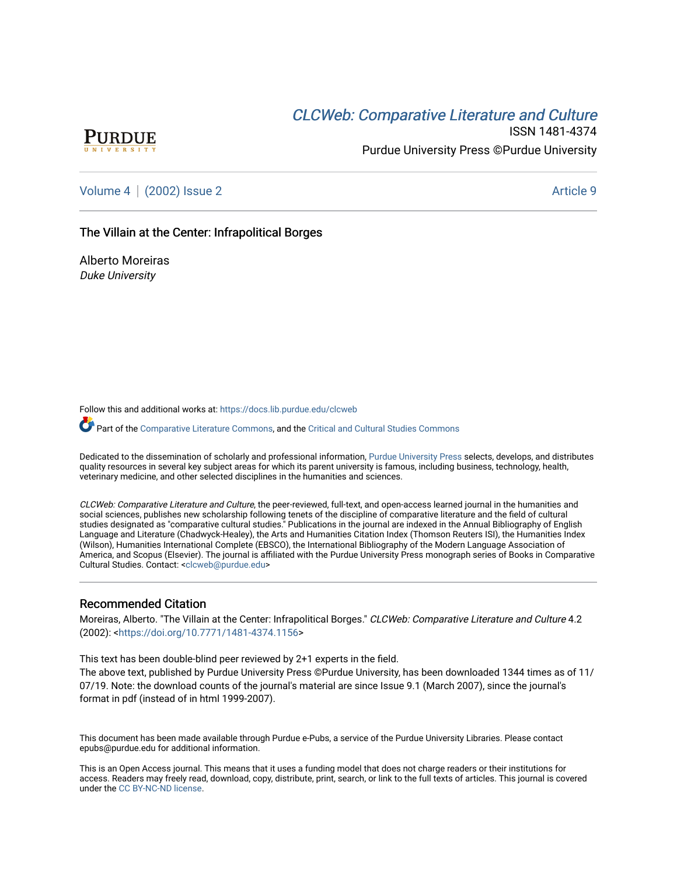# CLCW[eb: Comparative Liter](https://docs.lib.purdue.edu/clcweb)ature and Culture



ISSN 1481-4374 Purdue University Press ©Purdue University

[Volume 4](https://docs.lib.purdue.edu/clcweb/vol4) | [\(2002\) Issue 2](https://docs.lib.purdue.edu/clcweb/vol4/iss2) Article 9

### The Villain at the Center: Infrapolitical Borges

Alberto Moreiras Duke University

Follow this and additional works at: [https://docs.lib.purdue.edu/clcweb](https://docs.lib.purdue.edu/clcweb?utm_source=docs.lib.purdue.edu%2Fclcweb%2Fvol4%2Fiss2%2F9&utm_medium=PDF&utm_campaign=PDFCoverPages)

Part of the [Comparative Literature Commons,](http://network.bepress.com/hgg/discipline/454?utm_source=docs.lib.purdue.edu%2Fclcweb%2Fvol4%2Fiss2%2F9&utm_medium=PDF&utm_campaign=PDFCoverPages) and the [Critical and Cultural Studies Commons](http://network.bepress.com/hgg/discipline/328?utm_source=docs.lib.purdue.edu%2Fclcweb%2Fvol4%2Fiss2%2F9&utm_medium=PDF&utm_campaign=PDFCoverPages) 

Dedicated to the dissemination of scholarly and professional information, [Purdue University Press](http://www.thepress.purdue.edu/) selects, develops, and distributes quality resources in several key subject areas for which its parent university is famous, including business, technology, health, veterinary medicine, and other selected disciplines in the humanities and sciences.

CLCWeb: Comparative Literature and Culture, the peer-reviewed, full-text, and open-access learned journal in the humanities and social sciences, publishes new scholarship following tenets of the discipline of comparative literature and the field of cultural studies designated as "comparative cultural studies." Publications in the journal are indexed in the Annual Bibliography of English Language and Literature (Chadwyck-Healey), the Arts and Humanities Citation Index (Thomson Reuters ISI), the Humanities Index (Wilson), Humanities International Complete (EBSCO), the International Bibliography of the Modern Language Association of America, and Scopus (Elsevier). The journal is affiliated with the Purdue University Press monograph series of Books in Comparative Cultural Studies. Contact: [<clcweb@purdue.edu](mailto:clcweb@purdue.edu)>

### Recommended Citation

Moreiras, Alberto. "The Villain at the Center: Infrapolitical Borges." CLCWeb: Comparative Literature and Culture 4.2 (2002): [<https://doi.org/10.7771/1481-4374.1156](https://doi.org/10.7771/1481-4374.1156)>

This text has been double-blind peer reviewed by 2+1 experts in the field.

The above text, published by Purdue University Press ©Purdue University, has been downloaded 1344 times as of 11/ 07/19. Note: the download counts of the journal's material are since Issue 9.1 (March 2007), since the journal's format in pdf (instead of in html 1999-2007).

This document has been made available through Purdue e-Pubs, a service of the Purdue University Libraries. Please contact epubs@purdue.edu for additional information.

This is an Open Access journal. This means that it uses a funding model that does not charge readers or their institutions for access. Readers may freely read, download, copy, distribute, print, search, or link to the full texts of articles. This journal is covered under the [CC BY-NC-ND license.](https://creativecommons.org/licenses/by-nc-nd/4.0/)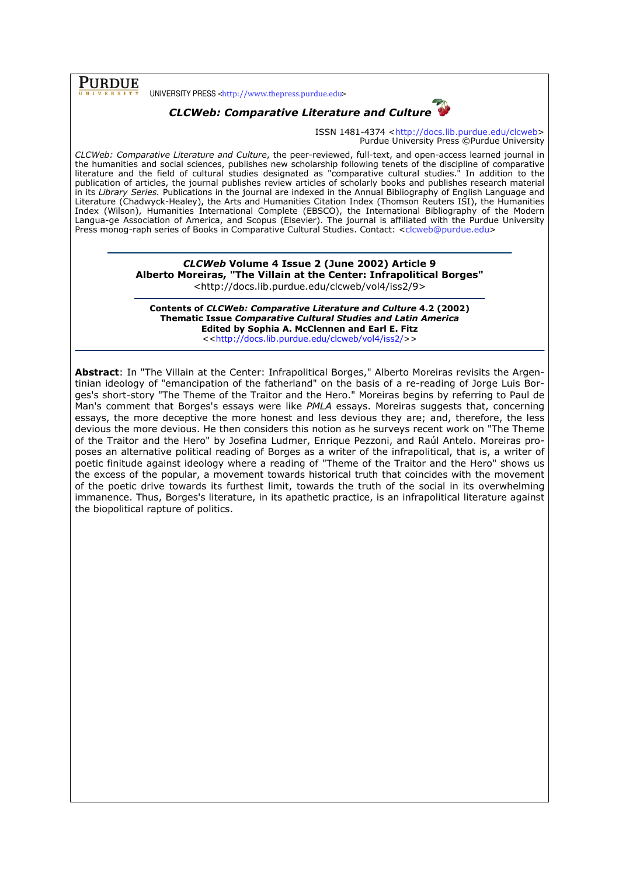# PURDUE

UNIVERSITY PRESS <http://www.thepress.purdue.edu>



## CLCWeb: Comparative Literature and Culture

ISSN 1481-4374 <http://docs.lib.purdue.edu/clcweb> Purdue University Press ©Purdue University

CLCWeb: Comparative Literature and Culture, the peer-reviewed, full-text, and open-access learned journal in the humanities and social sciences, publishes new scholarship following tenets of the discipline of comparative literature and the field of cultural studies designated as "comparative cultural studies." In addition to the publication of articles, the journal publishes review articles of scholarly books and publishes research material in its Library Series. Publications in the journal are indexed in the Annual Bibliography of English Language and Literature (Chadwyck-Healey), the Arts and Humanities Citation Index (Thomson Reuters ISI), the Humanities Index (Wilson), Humanities International Complete (EBSCO), the International Bibliography of the Modern Langua-ge Association of America, and Scopus (Elsevier). The journal is affiliated with the Purdue University Press monog-raph series of Books in Comparative Cultural Studies. Contact: <clcweb@purdue.edu>

### CLCWeb Volume 4 Issue 2 (June 2002) Article 9 Alberto Moreiras, "The Villain at the Center: Infrapolitical Borges" <http://docs.lib.purdue.edu/clcweb/vol4/iss2/9>

Contents of CLCWeb: Comparative Literature and Culture 4.2 (2002) Thematic Issue Comparative Cultural Studies and Latin America Edited by Sophia A. McClennen and Earl E. Fitz <<http://docs.lib.purdue.edu/clcweb/vol4/iss2/>>

Abstract: In "The Villain at the Center: Infrapolitical Borges," Alberto Moreiras revisits the Argentinian ideology of "emancipation of the fatherland" on the basis of a re-reading of Jorge Luis Borges's short-story "The Theme of the Traitor and the Hero." Moreiras begins by referring to Paul de Man's comment that Borges's essays were like PMLA essays. Moreiras suggests that, concerning essays, the more deceptive the more honest and less devious they are; and, therefore, the less devious the more devious. He then considers this notion as he surveys recent work on "The Theme of the Traitor and the Hero" by Josefina Ludmer, Enrique Pezzoni, and Raúl Antelo. Moreiras proposes an alternative political reading of Borges as a writer of the infrapolitical, that is, a writer of poetic finitude against ideology where a reading of "Theme of the Traitor and the Hero" shows us the excess of the popular, a movement towards historical truth that coincides with the movement of the poetic drive towards its furthest limit, towards the truth of the social in its overwhelming immanence. Thus, Borges's literature, in its apathetic practice, is an infrapolitical literature against the biopolitical rapture of politics.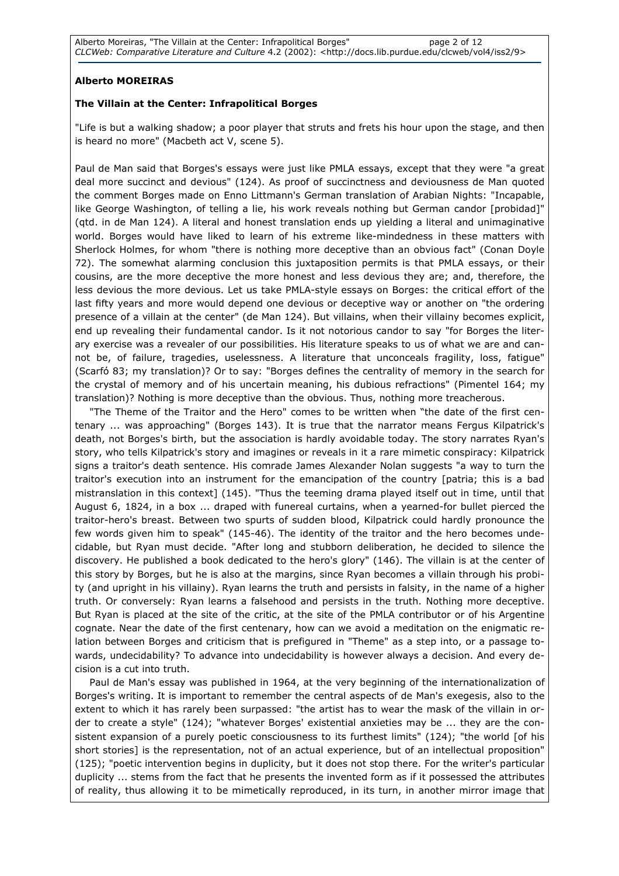## Alberto MOREIRAS

## The Villain at the Center: Infrapolitical Borges

"Life is but a walking shadow; a poor player that struts and frets his hour upon the stage, and then is heard no more" (Macbeth act V, scene 5).

Paul de Man said that Borges's essays were just like PMLA essays, except that they were "a great deal more succinct and devious" (124). As proof of succinctness and deviousness de Man quoted the comment Borges made on Enno Littmann's German translation of Arabian Nights: "Incapable, like George Washington, of telling a lie, his work reveals nothing but German candor [probidad]" (qtd. in de Man 124). A literal and honest translation ends up yielding a literal and unimaginative world. Borges would have liked to learn of his extreme like-mindedness in these matters with Sherlock Holmes, for whom "there is nothing more deceptive than an obvious fact" (Conan Doyle 72). The somewhat alarming conclusion this juxtaposition permits is that PMLA essays, or their cousins, are the more deceptive the more honest and less devious they are; and, therefore, the less devious the more devious. Let us take PMLA-style essays on Borges: the critical effort of the last fifty years and more would depend one devious or deceptive way or another on "the ordering presence of a villain at the center" (de Man 124). But villains, when their villainy becomes explicit, end up revealing their fundamental candor. Is it not notorious candor to say "for Borges the literary exercise was a revealer of our possibilities. His literature speaks to us of what we are and cannot be, of failure, tragedies, uselessness. A literature that unconceals fragility, loss, fatigue" (Scarfó 83; my translation)? Or to say: "Borges defines the centrality of memory in the search for the crystal of memory and of his uncertain meaning, his dubious refractions" (Pimentel 164; my translation)? Nothing is more deceptive than the obvious. Thus, nothing more treacherous.

 "The Theme of the Traitor and the Hero" comes to be written when "the date of the first centenary ... was approaching" (Borges 143). It is true that the narrator means Fergus Kilpatrick's death, not Borges's birth, but the association is hardly avoidable today. The story narrates Ryan's story, who tells Kilpatrick's story and imagines or reveals in it a rare mimetic conspiracy: Kilpatrick signs a traitor's death sentence. His comrade James Alexander Nolan suggests "a way to turn the traitor's execution into an instrument for the emancipation of the country [patria; this is a bad mistranslation in this context] (145). "Thus the teeming drama played itself out in time, until that August 6, 1824, in a box ... draped with funereal curtains, when a yearned-for bullet pierced the traitor-hero's breast. Between two spurts of sudden blood, Kilpatrick could hardly pronounce the few words given him to speak" (145-46). The identity of the traitor and the hero becomes undecidable, but Ryan must decide. "After long and stubborn deliberation, he decided to silence the discovery. He published a book dedicated to the hero's glory" (146). The villain is at the center of this story by Borges, but he is also at the margins, since Ryan becomes a villain through his probity (and upright in his villainy). Ryan learns the truth and persists in falsity, in the name of a higher truth. Or conversely: Ryan learns a falsehood and persists in the truth. Nothing more deceptive. But Ryan is placed at the site of the critic, at the site of the PMLA contributor or of his Argentine cognate. Near the date of the first centenary, how can we avoid a meditation on the enigmatic relation between Borges and criticism that is prefigured in "Theme" as a step into, or a passage towards, undecidability? To advance into undecidability is however always a decision. And every decision is a cut into truth.

Paul de Man's essay was published in 1964, at the very beginning of the internationalization of Borges's writing. It is important to remember the central aspects of de Man's exegesis, also to the extent to which it has rarely been surpassed: "the artist has to wear the mask of the villain in order to create a style" (124); "whatever Borges' existential anxieties may be ... they are the consistent expansion of a purely poetic consciousness to its furthest limits" (124); "the world [of his short stories] is the representation, not of an actual experience, but of an intellectual proposition" (125); "poetic intervention begins in duplicity, but it does not stop there. For the writer's particular duplicity ... stems from the fact that he presents the invented form as if it possessed the attributes of reality, thus allowing it to be mimetically reproduced, in its turn, in another mirror image that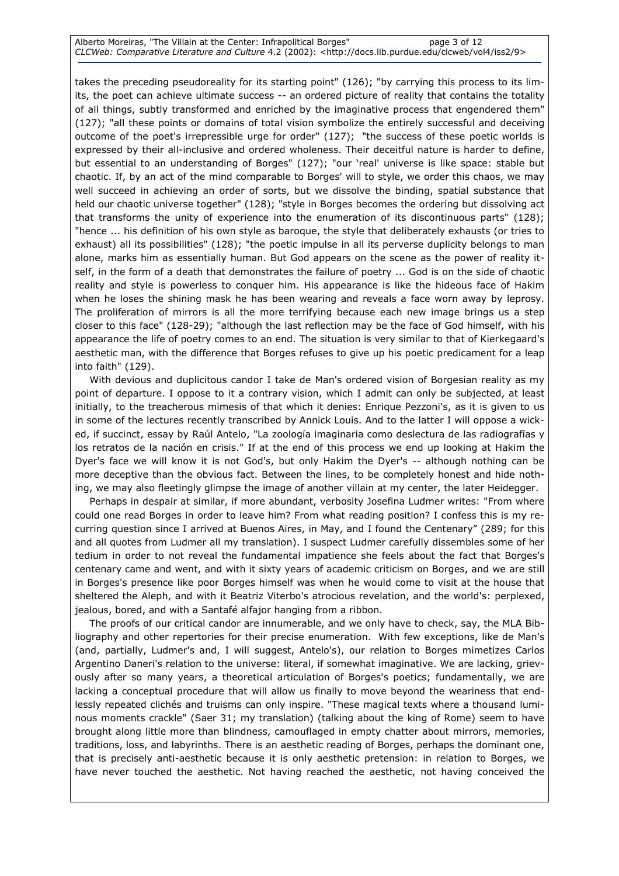Alberto Moreiras, "The Villain at the Center: Infrapolitical Borges" page 3 of 12 CLCWeb: Comparative Literature and Culture 4.2 (2002): <http://docs.lib.purdue.edu/clcweb/vol4/iss2/9>

takes the preceding pseudoreality for its starting point" (126); "by carrying this process to its limits, the poet can achieve ultimate success -- an ordered picture of reality that contains the totality of all things, subtly transformed and enriched by the imaginative process that engendered them" (127); "all these points or domains of total vision symbolize the entirely successful and deceiving outcome of the poet's irrepressible urge for order" (127); "the success of these poetic worlds is expressed by their all-inclusive and ordered wholeness. Their deceitful nature is harder to define, but essential to an understanding of Borges" (127); "our 'real' universe is like space: stable but chaotic. If, by an act of the mind comparable to Borges' will to style, we order this chaos, we may well succeed in achieving an order of sorts, but we dissolve the binding, spatial substance that held our chaotic universe together" (128); "style in Borges becomes the ordering but dissolving act that transforms the unity of experience into the enumeration of its discontinuous parts" (128); "hence ... his definition of his own style as baroque, the style that deliberately exhausts (or tries to exhaust) all its possibilities" (128); "the poetic impulse in all its perverse duplicity belongs to man alone, marks him as essentially human. But God appears on the scene as the power of reality itself, in the form of a death that demonstrates the failure of poetry ... God is on the side of chaotic reality and style is powerless to conquer him. His appearance is like the hideous face of Hakim when he loses the shining mask he has been wearing and reveals a face worn away by leprosy. The proliferation of mirrors is all the more terrifying because each new image brings us a step closer to this face" (128-29); "although the last reflection may be the face of God himself, with his appearance the life of poetry comes to an end. The situation is very similar to that of Kierkegaard's aesthetic man, with the difference that Borges refuses to give up his poetic predicament for a leap into faith" (129).

With devious and duplicitous candor I take de Man's ordered vision of Borgesian reality as my point of departure. I oppose to it a contrary vision, which I admit can only be subjected, at least initially, to the treacherous mimesis of that which it denies: Enrique Pezzoni's, as it is given to us in some of the lectures recently transcribed by Annick Louis. And to the latter I will oppose a wicked, if succinct, essay by Raúl Antelo, "La zoología imaginaria como deslectura de las radiografías y los retratos de la nación en crisis." If at the end of this process we end up looking at Hakim the Dyer's face we will know it is not God's, but only Hakim the Dyer's -- although nothing can be more deceptive than the obvious fact. Between the lines, to be completely honest and hide nothing, we may also fleetingly glimpse the image of another villain at my center, the later Heidegger.

Perhaps in despair at similar, if more abundant, verbosity Josefina Ludmer writes: "From where could one read Borges in order to leave him? From what reading position? I confess this is my recurring question since I arrived at Buenos Aires, in May, and I found the Centenary" (289; for this and all quotes from Ludmer all my translation). I suspect Ludmer carefully dissembles some of her tedium in order to not reveal the fundamental impatience she feels about the fact that Borges's centenary came and went, and with it sixty years of academic criticism on Borges, and we are still in Borges's presence like poor Borges himself was when he would come to visit at the house that sheltered the Aleph, and with it Beatriz Viterbo's atrocious revelation, and the world's: perplexed, jealous, bored, and with a Santafé alfajor hanging from a ribbon.

The proofs of our critical candor are innumerable, and we only have to check, say, the MLA Bibliography and other repertories for their precise enumeration. With few exceptions, like de Man's (and, partially, Ludmer's and, I will suggest, Antelo's), our relation to Borges mimetizes Carlos Argentino Daneri's relation to the universe: literal, if somewhat imaginative. We are lacking, grievously after so many years, a theoretical articulation of Borges's poetics; fundamentally, we are lacking a conceptual procedure that will allow us finally to move beyond the weariness that endlessly repeated clichés and truisms can only inspire. "These magical texts where a thousand luminous moments crackle" (Saer 31; my translation) (talking about the king of Rome) seem to have brought along little more than blindness, camouflaged in empty chatter about mirrors, memories, traditions, loss, and labyrinths. There is an aesthetic reading of Borges, perhaps the dominant one, that is precisely anti-aesthetic because it is only aesthetic pretension: in relation to Borges, we have never touched the aesthetic. Not having reached the aesthetic, not having conceived the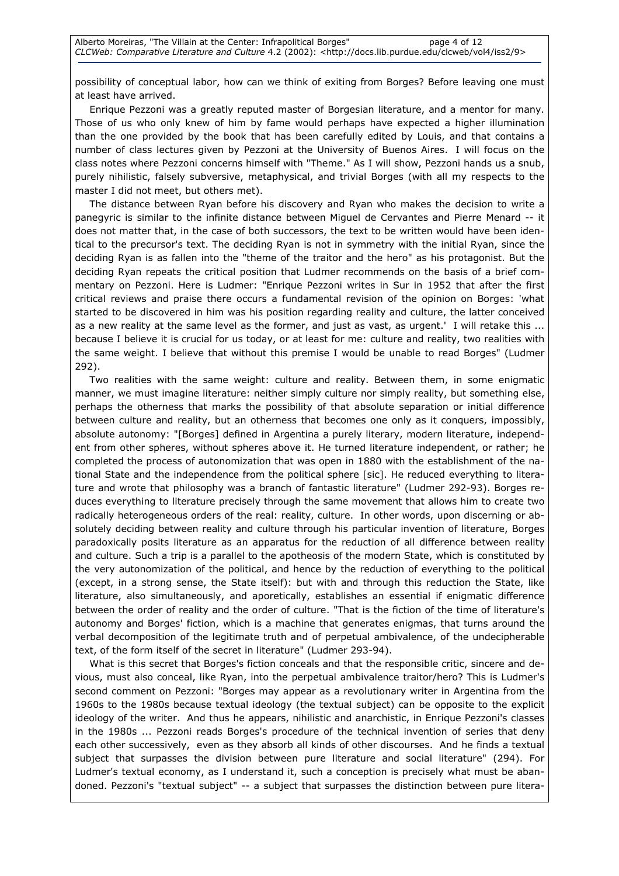possibility of conceptual labor, how can we think of exiting from Borges? Before leaving one must at least have arrived.

Enrique Pezzoni was a greatly reputed master of Borgesian literature, and a mentor for many. Those of us who only knew of him by fame would perhaps have expected a higher illumination than the one provided by the book that has been carefully edited by Louis, and that contains a number of class lectures given by Pezzoni at the University of Buenos Aires. I will focus on the class notes where Pezzoni concerns himself with "Theme." As I will show, Pezzoni hands us a snub, purely nihilistic, falsely subversive, metaphysical, and trivial Borges (with all my respects to the master I did not meet, but others met).

The distance between Ryan before his discovery and Ryan who makes the decision to write a panegyric is similar to the infinite distance between Miguel de Cervantes and Pierre Menard -- it does not matter that, in the case of both successors, the text to be written would have been identical to the precursor's text. The deciding Ryan is not in symmetry with the initial Ryan, since the deciding Ryan is as fallen into the "theme of the traitor and the hero" as his protagonist. But the deciding Ryan repeats the critical position that Ludmer recommends on the basis of a brief commentary on Pezzoni. Here is Ludmer: "Enrique Pezzoni writes in Sur in 1952 that after the first critical reviews and praise there occurs a fundamental revision of the opinion on Borges: 'what started to be discovered in him was his position regarding reality and culture, the latter conceived as a new reality at the same level as the former, and just as vast, as urgent.' I will retake this ... because I believe it is crucial for us today, or at least for me: culture and reality, two realities with the same weight. I believe that without this premise I would be unable to read Borges" (Ludmer 292).

Two realities with the same weight: culture and reality. Between them, in some enigmatic manner, we must imagine literature: neither simply culture nor simply reality, but something else, perhaps the otherness that marks the possibility of that absolute separation or initial difference between culture and reality, but an otherness that becomes one only as it conquers, impossibly, absolute autonomy: "[Borges] defined in Argentina a purely literary, modern literature, independent from other spheres, without spheres above it. He turned literature independent, or rather; he completed the process of autonomization that was open in 1880 with the establishment of the national State and the independence from the political sphere [sic]. He reduced everything to literature and wrote that philosophy was a branch of fantastic literature" (Ludmer 292-93). Borges reduces everything to literature precisely through the same movement that allows him to create two radically heterogeneous orders of the real: reality, culture. In other words, upon discerning or absolutely deciding between reality and culture through his particular invention of literature, Borges paradoxically posits literature as an apparatus for the reduction of all difference between reality and culture. Such a trip is a parallel to the apotheosis of the modern State, which is constituted by the very autonomization of the political, and hence by the reduction of everything to the political (except, in a strong sense, the State itself): but with and through this reduction the State, like literature, also simultaneously, and aporetically, establishes an essential if enigmatic difference between the order of reality and the order of culture. "That is the fiction of the time of literature's autonomy and Borges' fiction, which is a machine that generates enigmas, that turns around the verbal decomposition of the legitimate truth and of perpetual ambivalence, of the undecipherable text, of the form itself of the secret in literature" (Ludmer 293-94).

What is this secret that Borges's fiction conceals and that the responsible critic, sincere and devious, must also conceal, like Ryan, into the perpetual ambivalence traitor/hero? This is Ludmer's second comment on Pezzoni: "Borges may appear as a revolutionary writer in Argentina from the 1960s to the 1980s because textual ideology (the textual subject) can be opposite to the explicit ideology of the writer. And thus he appears, nihilistic and anarchistic, in Enrique Pezzoni's classes in the 1980s ... Pezzoni reads Borges's procedure of the technical invention of series that deny each other successively, even as they absorb all kinds of other discourses. And he finds a textual subject that surpasses the division between pure literature and social literature" (294). For Ludmer's textual economy, as I understand it, such a conception is precisely what must be abandoned. Pezzoni's "textual subject" -- a subject that surpasses the distinction between pure litera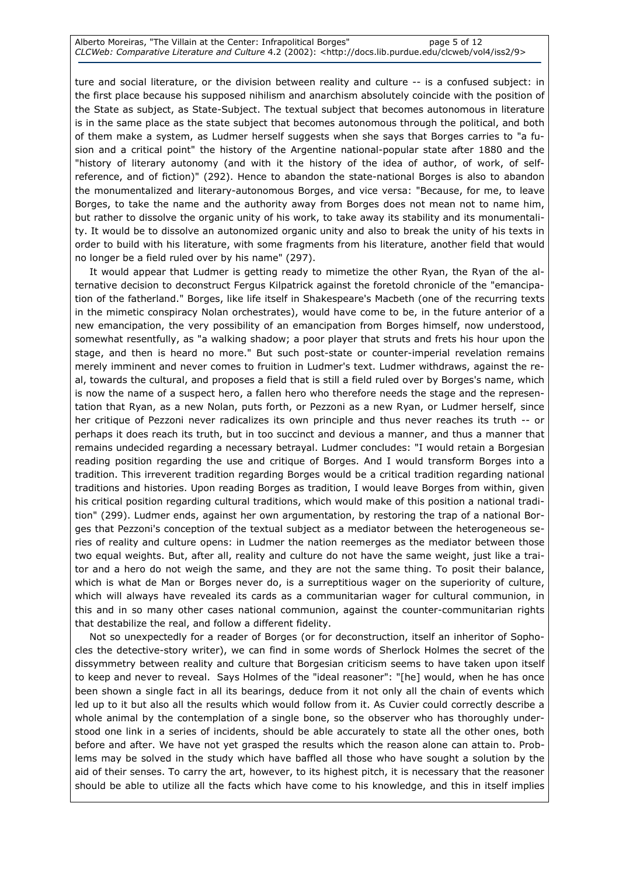ture and social literature, or the division between reality and culture -- is a confused subject: in the first place because his supposed nihilism and anarchism absolutely coincide with the position of the State as subject, as State-Subject. The textual subject that becomes autonomous in literature is in the same place as the state subject that becomes autonomous through the political, and both of them make a system, as Ludmer herself suggests when she says that Borges carries to "a fusion and a critical point" the history of the Argentine national-popular state after 1880 and the "history of literary autonomy (and with it the history of the idea of author, of work, of selfreference, and of fiction)" (292). Hence to abandon the state-national Borges is also to abandon the monumentalized and literary-autonomous Borges, and vice versa: "Because, for me, to leave Borges, to take the name and the authority away from Borges does not mean not to name him, but rather to dissolve the organic unity of his work, to take away its stability and its monumentality. It would be to dissolve an autonomized organic unity and also to break the unity of his texts in order to build with his literature, with some fragments from his literature, another field that would no longer be a field ruled over by his name" (297).

It would appear that Ludmer is getting ready to mimetize the other Ryan, the Ryan of the alternative decision to deconstruct Fergus Kilpatrick against the foretold chronicle of the "emancipation of the fatherland." Borges, like life itself in Shakespeare's Macbeth (one of the recurring texts in the mimetic conspiracy Nolan orchestrates), would have come to be, in the future anterior of a new emancipation, the very possibility of an emancipation from Borges himself, now understood, somewhat resentfully, as "a walking shadow; a poor player that struts and frets his hour upon the stage, and then is heard no more." But such post-state or counter-imperial revelation remains merely imminent and never comes to fruition in Ludmer's text. Ludmer withdraws, against the real, towards the cultural, and proposes a field that is still a field ruled over by Borges's name, which is now the name of a suspect hero, a fallen hero who therefore needs the stage and the representation that Ryan, as a new Nolan, puts forth, or Pezzoni as a new Ryan, or Ludmer herself, since her critique of Pezzoni never radicalizes its own principle and thus never reaches its truth -- or perhaps it does reach its truth, but in too succinct and devious a manner, and thus a manner that remains undecided regarding a necessary betrayal. Ludmer concludes: "I would retain a Borgesian reading position regarding the use and critique of Borges. And I would transform Borges into a tradition. This irreverent tradition regarding Borges would be a critical tradition regarding national traditions and histories. Upon reading Borges as tradition, I would leave Borges from within, given his critical position regarding cultural traditions, which would make of this position a national tradition" (299). Ludmer ends, against her own argumentation, by restoring the trap of a national Borges that Pezzoni's conception of the textual subject as a mediator between the heterogeneous series of reality and culture opens: in Ludmer the nation reemerges as the mediator between those two equal weights. But, after all, reality and culture do not have the same weight, just like a traitor and a hero do not weigh the same, and they are not the same thing. To posit their balance, which is what de Man or Borges never do, is a surreptitious wager on the superiority of culture, which will always have revealed its cards as a communitarian wager for cultural communion, in this and in so many other cases national communion, against the counter-communitarian rights that destabilize the real, and follow a different fidelity.

Not so unexpectedly for a reader of Borges (or for deconstruction, itself an inheritor of Sophocles the detective-story writer), we can find in some words of Sherlock Holmes the secret of the dissymmetry between reality and culture that Borgesian criticism seems to have taken upon itself to keep and never to reveal. Says Holmes of the "ideal reasoner": "[he] would, when he has once been shown a single fact in all its bearings, deduce from it not only all the chain of events which led up to it but also all the results which would follow from it. As Cuvier could correctly describe a whole animal by the contemplation of a single bone, so the observer who has thoroughly understood one link in a series of incidents, should be able accurately to state all the other ones, both before and after. We have not yet grasped the results which the reason alone can attain to. Problems may be solved in the study which have baffled all those who have sought a solution by the aid of their senses. To carry the art, however, to its highest pitch, it is necessary that the reasoner should be able to utilize all the facts which have come to his knowledge, and this in itself implies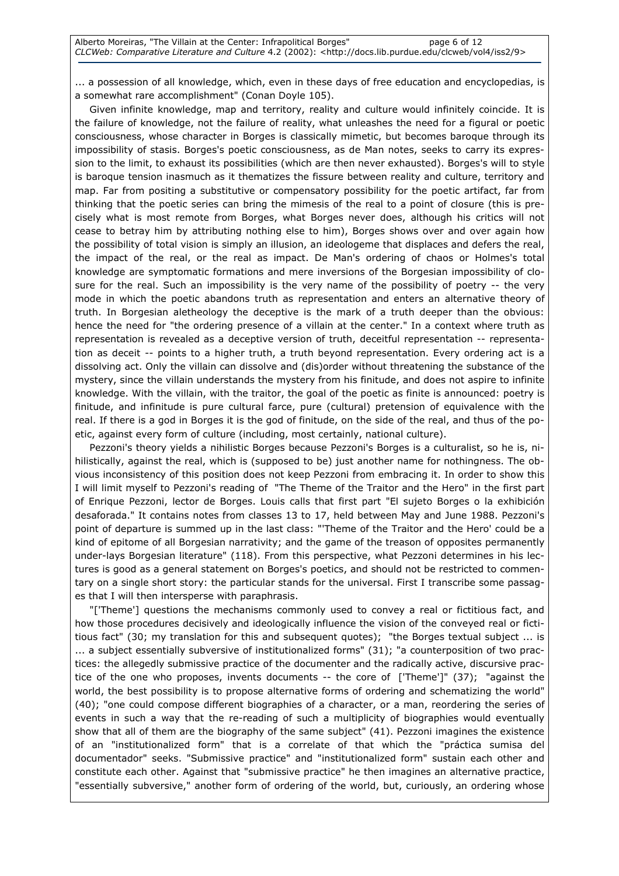... a possession of all knowledge, which, even in these days of free education and encyclopedias, is a somewhat rare accomplishment" (Conan Doyle 105).

Given infinite knowledge, map and territory, reality and culture would infinitely coincide. It is the failure of knowledge, not the failure of reality, what unleashes the need for a figural or poetic consciousness, whose character in Borges is classically mimetic, but becomes baroque through its impossibility of stasis. Borges's poetic consciousness, as de Man notes, seeks to carry its expression to the limit, to exhaust its possibilities (which are then never exhausted). Borges's will to style is baroque tension inasmuch as it thematizes the fissure between reality and culture, territory and map. Far from positing a substitutive or compensatory possibility for the poetic artifact, far from thinking that the poetic series can bring the mimesis of the real to a point of closure (this is precisely what is most remote from Borges, what Borges never does, although his critics will not cease to betray him by attributing nothing else to him), Borges shows over and over again how the possibility of total vision is simply an illusion, an ideologeme that displaces and defers the real, the impact of the real, or the real as impact. De Man's ordering of chaos or Holmes's total knowledge are symptomatic formations and mere inversions of the Borgesian impossibility of closure for the real. Such an impossibility is the very name of the possibility of poetry -- the very mode in which the poetic abandons truth as representation and enters an alternative theory of truth. In Borgesian aletheology the deceptive is the mark of a truth deeper than the obvious: hence the need for "the ordering presence of a villain at the center." In a context where truth as representation is revealed as a deceptive version of truth, deceitful representation -- representation as deceit -- points to a higher truth, a truth beyond representation. Every ordering act is a dissolving act. Only the villain can dissolve and (dis)order without threatening the substance of the mystery, since the villain understands the mystery from his finitude, and does not aspire to infinite knowledge. With the villain, with the traitor, the goal of the poetic as finite is announced: poetry is finitude, and infinitude is pure cultural farce, pure (cultural) pretension of equivalence with the real. If there is a god in Borges it is the god of finitude, on the side of the real, and thus of the poetic, against every form of culture (including, most certainly, national culture).

Pezzoni's theory yields a nihilistic Borges because Pezzoni's Borges is a culturalist, so he is, nihilistically, against the real, which is (supposed to be) just another name for nothingness. The obvious inconsistency of this position does not keep Pezzoni from embracing it. In order to show this I will limit myself to Pezzoni's reading of "The Theme of the Traitor and the Hero" in the first part of Enrique Pezzoni, lector de Borges. Louis calls that first part "El sujeto Borges o la exhibición desaforada." It contains notes from classes 13 to 17, held between May and June 1988. Pezzoni's point of departure is summed up in the last class: "'Theme of the Traitor and the Hero' could be a kind of epitome of all Borgesian narrativity; and the game of the treason of opposites permanently under-lays Borgesian literature" (118). From this perspective, what Pezzoni determines in his lectures is good as a general statement on Borges's poetics, and should not be restricted to commentary on a single short story: the particular stands for the universal. First I transcribe some passages that I will then intersperse with paraphrasis.

"['Theme'] questions the mechanisms commonly used to convey a real or fictitious fact, and how those procedures decisively and ideologically influence the vision of the conveyed real or fictitious fact" (30; my translation for this and subsequent quotes); "the Borges textual subject ... is ... a subject essentially subversive of institutionalized forms" (31); "a counterposition of two practices: the allegedly submissive practice of the documenter and the radically active, discursive practice of the one who proposes, invents documents -- the core of ['Theme']" (37); "against the world, the best possibility is to propose alternative forms of ordering and schematizing the world" (40); "one could compose different biographies of a character, or a man, reordering the series of events in such a way that the re-reading of such a multiplicity of biographies would eventually show that all of them are the biography of the same subject" (41). Pezzoni imagines the existence of an "institutionalized form" that is a correlate of that which the "práctica sumisa del documentador" seeks. "Submissive practice" and "institutionalized form" sustain each other and constitute each other. Against that "submissive practice" he then imagines an alternative practice, "essentially subversive," another form of ordering of the world, but, curiously, an ordering whose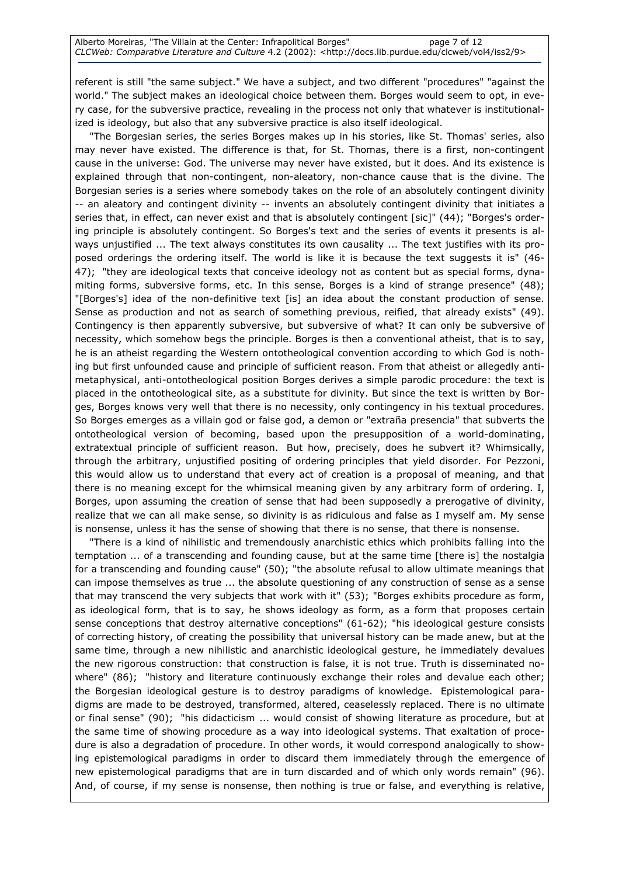referent is still "the same subject." We have a subject, and two different "procedures" "against the world." The subject makes an ideological choice between them. Borges would seem to opt, in every case, for the subversive practice, revealing in the process not only that whatever is institutionalized is ideology, but also that any subversive practice is also itself ideological.

"The Borgesian series, the series Borges makes up in his stories, like St. Thomas' series, also may never have existed. The difference is that, for St. Thomas, there is a first, non-contingent cause in the universe: God. The universe may never have existed, but it does. And its existence is explained through that non-contingent, non-aleatory, non-chance cause that is the divine. The Borgesian series is a series where somebody takes on the role of an absolutely contingent divinity -- an aleatory and contingent divinity -- invents an absolutely contingent divinity that initiates a series that, in effect, can never exist and that is absolutely contingent [sic]" (44); "Borges's ordering principle is absolutely contingent. So Borges's text and the series of events it presents is always unjustified ... The text always constitutes its own causality ... The text justifies with its proposed orderings the ordering itself. The world is like it is because the text suggests it is" (46- 47); "they are ideological texts that conceive ideology not as content but as special forms, dynamiting forms, subversive forms, etc. In this sense, Borges is a kind of strange presence" (48); "[Borges's] idea of the non-definitive text [is] an idea about the constant production of sense. Sense as production and not as search of something previous, reified, that already exists" (49). Contingency is then apparently subversive, but subversive of what? It can only be subversive of necessity, which somehow begs the principle. Borges is then a conventional atheist, that is to say, he is an atheist regarding the Western ontotheological convention according to which God is nothing but first unfounded cause and principle of sufficient reason. From that atheist or allegedly antimetaphysical, anti-ontotheological position Borges derives a simple parodic procedure: the text is placed in the ontotheological site, as a substitute for divinity. But since the text is written by Borges, Borges knows very well that there is no necessity, only contingency in his textual procedures. So Borges emerges as a villain god or false god, a demon or "extraña presencia" that subverts the ontotheological version of becoming, based upon the presupposition of a world-dominating, extratextual principle of sufficient reason. But how, precisely, does he subvert it? Whimsically, through the arbitrary, unjustified positing of ordering principles that yield disorder. For Pezzoni, this would allow us to understand that every act of creation is a proposal of meaning, and that there is no meaning except for the whimsical meaning given by any arbitrary form of ordering. I, Borges, upon assuming the creation of sense that had been supposedly a prerogative of divinity, realize that we can all make sense, so divinity is as ridiculous and false as I myself am. My sense is nonsense, unless it has the sense of showing that there is no sense, that there is nonsense.

"There is a kind of nihilistic and tremendously anarchistic ethics which prohibits falling into the temptation ... of a transcending and founding cause, but at the same time [there is] the nostalgia for a transcending and founding cause" (50); "the absolute refusal to allow ultimate meanings that can impose themselves as true ... the absolute questioning of any construction of sense as a sense that may transcend the very subjects that work with it" (53); "Borges exhibits procedure as form, as ideological form, that is to say, he shows ideology as form, as a form that proposes certain sense conceptions that destroy alternative conceptions" (61-62); "his ideological gesture consists of correcting history, of creating the possibility that universal history can be made anew, but at the same time, through a new nihilistic and anarchistic ideological gesture, he immediately devalues the new rigorous construction: that construction is false, it is not true. Truth is disseminated nowhere" (86); "history and literature continuously exchange their roles and devalue each other; the Borgesian ideological gesture is to destroy paradigms of knowledge. Epistemological paradigms are made to be destroyed, transformed, altered, ceaselessly replaced. There is no ultimate or final sense" (90); "his didacticism ... would consist of showing literature as procedure, but at the same time of showing procedure as a way into ideological systems. That exaltation of procedure is also a degradation of procedure. In other words, it would correspond analogically to showing epistemological paradigms in order to discard them immediately through the emergence of new epistemological paradigms that are in turn discarded and of which only words remain" (96). And, of course, if my sense is nonsense, then nothing is true or false, and everything is relative,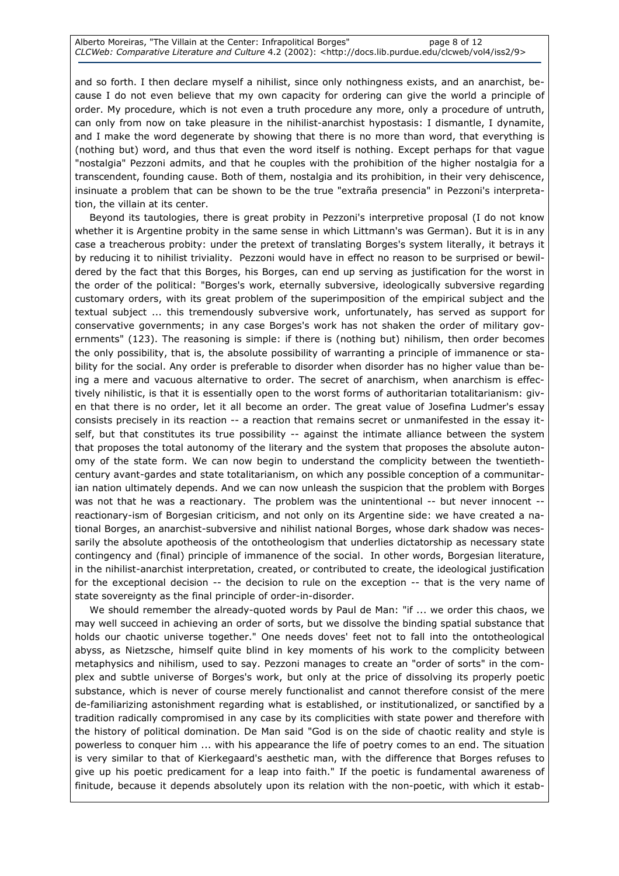and so forth. I then declare myself a nihilist, since only nothingness exists, and an anarchist, because I do not even believe that my own capacity for ordering can give the world a principle of order. My procedure, which is not even a truth procedure any more, only a procedure of untruth, can only from now on take pleasure in the nihilist-anarchist hypostasis: I dismantle, I dynamite, and I make the word degenerate by showing that there is no more than word, that everything is (nothing but) word, and thus that even the word itself is nothing. Except perhaps for that vague "nostalgia" Pezzoni admits, and that he couples with the prohibition of the higher nostalgia for a transcendent, founding cause. Both of them, nostalgia and its prohibition, in their very dehiscence, insinuate a problem that can be shown to be the true "extraña presencia" in Pezzoni's interpretation, the villain at its center.

Beyond its tautologies, there is great probity in Pezzoni's interpretive proposal (I do not know whether it is Argentine probity in the same sense in which Littmann's was German). But it is in any case a treacherous probity: under the pretext of translating Borges's system literally, it betrays it by reducing it to nihilist triviality. Pezzoni would have in effect no reason to be surprised or bewildered by the fact that this Borges, his Borges, can end up serving as justification for the worst in the order of the political: "Borges's work, eternally subversive, ideologically subversive regarding customary orders, with its great problem of the superimposition of the empirical subject and the textual subject ... this tremendously subversive work, unfortunately, has served as support for conservative governments; in any case Borges's work has not shaken the order of military governments" (123). The reasoning is simple: if there is (nothing but) nihilism, then order becomes the only possibility, that is, the absolute possibility of warranting a principle of immanence or stability for the social. Any order is preferable to disorder when disorder has no higher value than being a mere and vacuous alternative to order. The secret of anarchism, when anarchism is effectively nihilistic, is that it is essentially open to the worst forms of authoritarian totalitarianism: given that there is no order, let it all become an order. The great value of Josefina Ludmer's essay consists precisely in its reaction -- a reaction that remains secret or unmanifested in the essay itself, but that constitutes its true possibility -- against the intimate alliance between the system that proposes the total autonomy of the literary and the system that proposes the absolute autonomy of the state form. We can now begin to understand the complicity between the twentiethcentury avant-gardes and state totalitarianism, on which any possible conception of a communitarian nation ultimately depends. And we can now unleash the suspicion that the problem with Borges was not that he was a reactionary. The problem was the unintentional -- but never innocent -reactionary-ism of Borgesian criticism, and not only on its Argentine side: we have created a national Borges, an anarchist-subversive and nihilist national Borges, whose dark shadow was necessarily the absolute apotheosis of the ontotheologism that underlies dictatorship as necessary state contingency and (final) principle of immanence of the social. In other words, Borgesian literature, in the nihilist-anarchist interpretation, created, or contributed to create, the ideological justification for the exceptional decision -- the decision to rule on the exception -- that is the very name of state sovereignty as the final principle of order-in-disorder.

We should remember the already-quoted words by Paul de Man: "if ... we order this chaos, we may well succeed in achieving an order of sorts, but we dissolve the binding spatial substance that holds our chaotic universe together." One needs doves' feet not to fall into the ontotheological abyss, as Nietzsche, himself quite blind in key moments of his work to the complicity between metaphysics and nihilism, used to say. Pezzoni manages to create an "order of sorts" in the complex and subtle universe of Borges's work, but only at the price of dissolving its properly poetic substance, which is never of course merely functionalist and cannot therefore consist of the mere de-familiarizing astonishment regarding what is established, or institutionalized, or sanctified by a tradition radically compromised in any case by its complicities with state power and therefore with the history of political domination. De Man said "God is on the side of chaotic reality and style is powerless to conquer him ... with his appearance the life of poetry comes to an end. The situation is very similar to that of Kierkegaard's aesthetic man, with the difference that Borges refuses to give up his poetic predicament for a leap into faith." If the poetic is fundamental awareness of finitude, because it depends absolutely upon its relation with the non-poetic, with which it estab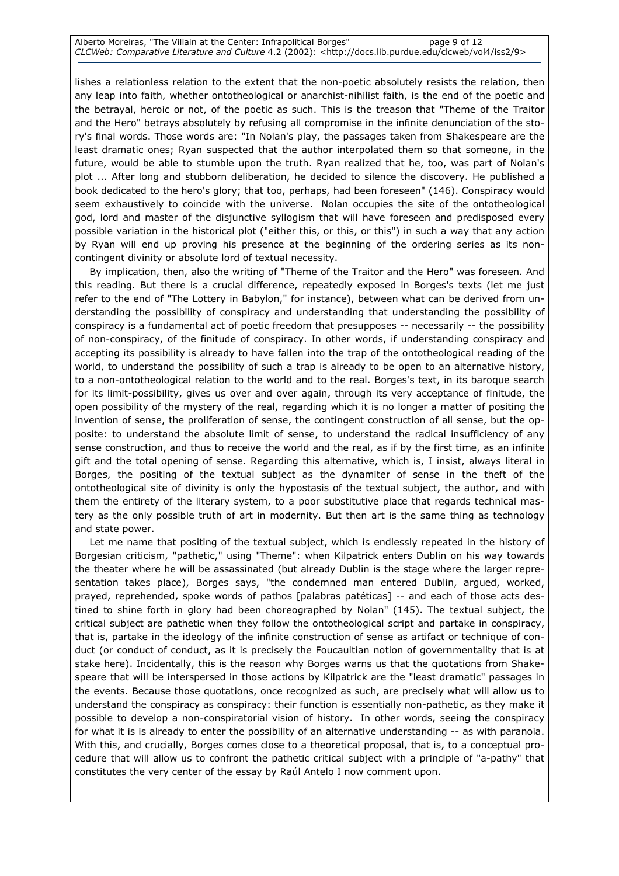lishes a relationless relation to the extent that the non-poetic absolutely resists the relation, then any leap into faith, whether ontotheological or anarchist-nihilist faith, is the end of the poetic and the betrayal, heroic or not, of the poetic as such. This is the treason that "Theme of the Traitor and the Hero" betrays absolutely by refusing all compromise in the infinite denunciation of the story's final words. Those words are: "In Nolan's play, the passages taken from Shakespeare are the least dramatic ones; Ryan suspected that the author interpolated them so that someone, in the future, would be able to stumble upon the truth. Ryan realized that he, too, was part of Nolan's plot ... After long and stubborn deliberation, he decided to silence the discovery. He published a book dedicated to the hero's glory; that too, perhaps, had been foreseen" (146). Conspiracy would seem exhaustively to coincide with the universe. Nolan occupies the site of the ontotheological god, lord and master of the disjunctive syllogism that will have foreseen and predisposed every possible variation in the historical plot ("either this, or this, or this") in such a way that any action by Ryan will end up proving his presence at the beginning of the ordering series as its noncontingent divinity or absolute lord of textual necessity.

By implication, then, also the writing of "Theme of the Traitor and the Hero" was foreseen. And this reading. But there is a crucial difference, repeatedly exposed in Borges's texts (let me just refer to the end of "The Lottery in Babylon," for instance), between what can be derived from understanding the possibility of conspiracy and understanding that understanding the possibility of conspiracy is a fundamental act of poetic freedom that presupposes -- necessarily -- the possibility of non-conspiracy, of the finitude of conspiracy. In other words, if understanding conspiracy and accepting its possibility is already to have fallen into the trap of the ontotheological reading of the world, to understand the possibility of such a trap is already to be open to an alternative history, to a non-ontotheological relation to the world and to the real. Borges's text, in its baroque search for its limit-possibility, gives us over and over again, through its very acceptance of finitude, the open possibility of the mystery of the real, regarding which it is no longer a matter of positing the invention of sense, the proliferation of sense, the contingent construction of all sense, but the opposite: to understand the absolute limit of sense, to understand the radical insufficiency of any sense construction, and thus to receive the world and the real, as if by the first time, as an infinite gift and the total opening of sense. Regarding this alternative, which is, I insist, always literal in Borges, the positing of the textual subject as the dynamiter of sense in the theft of the ontotheological site of divinity is only the hypostasis of the textual subject, the author, and with them the entirety of the literary system, to a poor substitutive place that regards technical mastery as the only possible truth of art in modernity. But then art is the same thing as technology and state power.

Let me name that positing of the textual subject, which is endlessly repeated in the history of Borgesian criticism, "pathetic," using "Theme": when Kilpatrick enters Dublin on his way towards the theater where he will be assassinated (but already Dublin is the stage where the larger representation takes place), Borges says, "the condemned man entered Dublin, argued, worked, prayed, reprehended, spoke words of pathos [palabras patéticas] -- and each of those acts destined to shine forth in glory had been choreographed by Nolan" (145). The textual subject, the critical subject are pathetic when they follow the ontotheological script and partake in conspiracy, that is, partake in the ideology of the infinite construction of sense as artifact or technique of conduct (or conduct of conduct, as it is precisely the Foucaultian notion of governmentality that is at stake here). Incidentally, this is the reason why Borges warns us that the quotations from Shakespeare that will be interspersed in those actions by Kilpatrick are the "least dramatic" passages in the events. Because those quotations, once recognized as such, are precisely what will allow us to understand the conspiracy as conspiracy: their function is essentially non-pathetic, as they make it possible to develop a non-conspiratorial vision of history. In other words, seeing the conspiracy for what it is is already to enter the possibility of an alternative understanding -- as with paranoia. With this, and crucially, Borges comes close to a theoretical proposal, that is, to a conceptual procedure that will allow us to confront the pathetic critical subject with a principle of "a-pathy" that constitutes the very center of the essay by Raúl Antelo I now comment upon.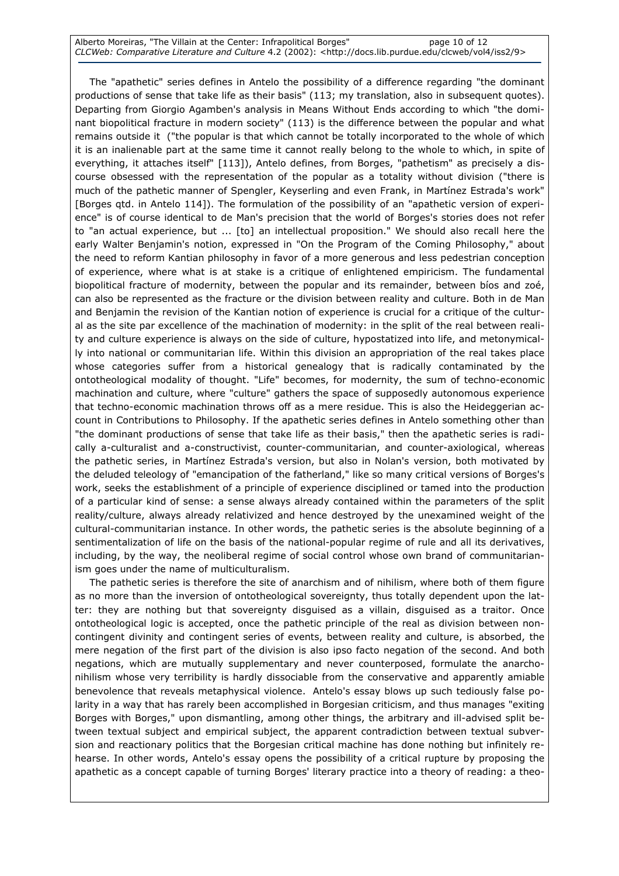The "apathetic" series defines in Antelo the possibility of a difference regarding "the dominant productions of sense that take life as their basis" (113; my translation, also in subsequent quotes). Departing from Giorgio Agamben's analysis in Means Without Ends according to which "the dominant biopolitical fracture in modern society" (113) is the difference between the popular and what remains outside it ("the popular is that which cannot be totally incorporated to the whole of which it is an inalienable part at the same time it cannot really belong to the whole to which, in spite of everything, it attaches itself" [113]), Antelo defines, from Borges, "pathetism" as precisely a discourse obsessed with the representation of the popular as a totality without division ("there is much of the pathetic manner of Spengler, Keyserling and even Frank, in Martínez Estrada's work" [Borges qtd. in Antelo 114]). The formulation of the possibility of an "apathetic version of experience" is of course identical to de Man's precision that the world of Borges's stories does not refer to "an actual experience, but ... [to] an intellectual proposition." We should also recall here the early Walter Benjamin's notion, expressed in "On the Program of the Coming Philosophy," about the need to reform Kantian philosophy in favor of a more generous and less pedestrian conception of experience, where what is at stake is a critique of enlightened empiricism. The fundamental biopolitical fracture of modernity, between the popular and its remainder, between bíos and zoé, can also be represented as the fracture or the division between reality and culture. Both in de Man and Benjamin the revision of the Kantian notion of experience is crucial for a critique of the cultural as the site par excellence of the machination of modernity: in the split of the real between reality and culture experience is always on the side of culture, hypostatized into life, and metonymically into national or communitarian life. Within this division an appropriation of the real takes place whose categories suffer from a historical genealogy that is radically contaminated by the ontotheological modality of thought. "Life" becomes, for modernity, the sum of techno-economic machination and culture, where "culture" gathers the space of supposedly autonomous experience that techno-economic machination throws off as a mere residue. This is also the Heideggerian account in Contributions to Philosophy. If the apathetic series defines in Antelo something other than "the dominant productions of sense that take life as their basis," then the apathetic series is radically a-culturalist and a-constructivist, counter-communitarian, and counter-axiological, whereas the pathetic series, in Martínez Estrada's version, but also in Nolan's version, both motivated by the deluded teleology of "emancipation of the fatherland," like so many critical versions of Borges's work, seeks the establishment of a principle of experience disciplined or tamed into the production of a particular kind of sense: a sense always already contained within the parameters of the split reality/culture, always already relativized and hence destroyed by the unexamined weight of the cultural-communitarian instance. In other words, the pathetic series is the absolute beginning of a sentimentalization of life on the basis of the national-popular regime of rule and all its derivatives, including, by the way, the neoliberal regime of social control whose own brand of communitarianism goes under the name of multiculturalism.

The pathetic series is therefore the site of anarchism and of nihilism, where both of them figure as no more than the inversion of ontotheological sovereignty, thus totally dependent upon the latter: they are nothing but that sovereignty disguised as a villain, disguised as a traitor. Once ontotheological logic is accepted, once the pathetic principle of the real as division between noncontingent divinity and contingent series of events, between reality and culture, is absorbed, the mere negation of the first part of the division is also ipso facto negation of the second. And both negations, which are mutually supplementary and never counterposed, formulate the anarchonihilism whose very terribility is hardly dissociable from the conservative and apparently amiable benevolence that reveals metaphysical violence. Antelo's essay blows up such tediously false polarity in a way that has rarely been accomplished in Borgesian criticism, and thus manages "exiting Borges with Borges," upon dismantling, among other things, the arbitrary and ill-advised split between textual subject and empirical subject, the apparent contradiction between textual subversion and reactionary politics that the Borgesian critical machine has done nothing but infinitely rehearse. In other words, Antelo's essay opens the possibility of a critical rupture by proposing the apathetic as a concept capable of turning Borges' literary practice into a theory of reading: a theo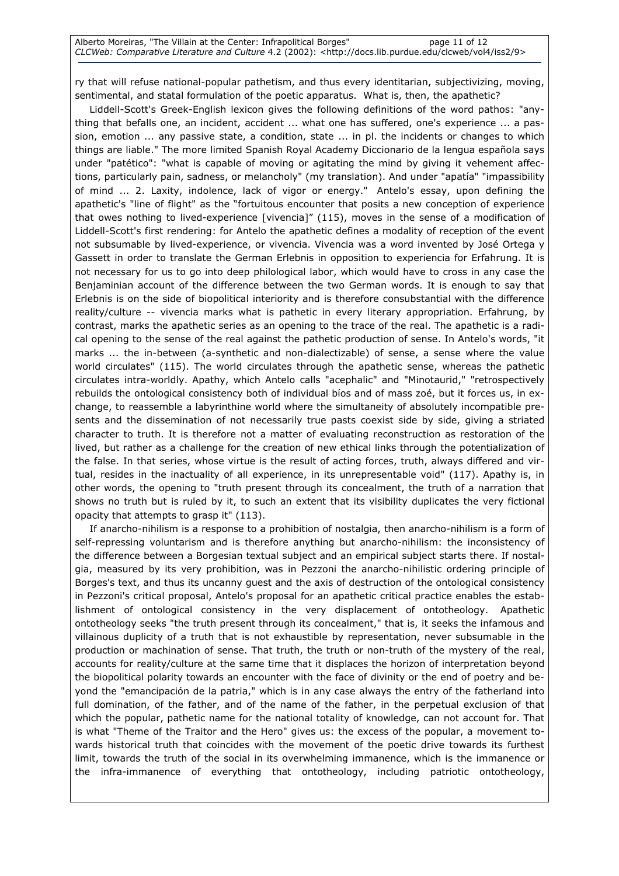ry that will refuse national-popular pathetism, and thus every identitarian, subjectivizing, moving, sentimental, and statal formulation of the poetic apparatus. What is, then, the apathetic?

Liddell-Scott's Greek-English lexicon gives the following definitions of the word pathos: "anything that befalls one, an incident, accident ... what one has suffered, one's experience ... a passion, emotion ... any passive state, a condition, state ... in pl. the incidents or changes to which things are liable." The more limited Spanish Royal Academy Diccionario de la lengua española says under "patético": "what is capable of moving or agitating the mind by giving it vehement affections, particularly pain, sadness, or melancholy" (my translation). And under "apatía" "impassibility of mind ... 2. Laxity, indolence, lack of vigor or energy." Antelo's essay, upon defining the apathetic's "line of flight" as the "fortuitous encounter that posits a new conception of experience that owes nothing to lived-experience [vivencia]" (115), moves in the sense of a modification of Liddell-Scott's first rendering: for Antelo the apathetic defines a modality of reception of the event not subsumable by lived-experience, or vivencia. Vivencia was a word invented by José Ortega y Gassett in order to translate the German Erlebnis in opposition to experiencia for Erfahrung. It is not necessary for us to go into deep philological labor, which would have to cross in any case the Benjaminian account of the difference between the two German words. It is enough to say that Erlebnis is on the side of biopolitical interiority and is therefore consubstantial with the difference reality/culture -- vivencia marks what is pathetic in every literary appropriation. Erfahrung, by contrast, marks the apathetic series as an opening to the trace of the real. The apathetic is a radical opening to the sense of the real against the pathetic production of sense. In Antelo's words, "it marks ... the in-between (a-synthetic and non-dialectizable) of sense, a sense where the value world circulates" (115). The world circulates through the apathetic sense, whereas the pathetic circulates intra-worldly. Apathy, which Antelo calls "acephalic" and "Minotaurid," "retrospectively rebuilds the ontological consistency both of individual bíos and of mass zoé, but it forces us, in exchange, to reassemble a labyrinthine world where the simultaneity of absolutely incompatible presents and the dissemination of not necessarily true pasts coexist side by side, giving a striated character to truth. It is therefore not a matter of evaluating reconstruction as restoration of the lived, but rather as a challenge for the creation of new ethical links through the potentialization of the false. In that series, whose virtue is the result of acting forces, truth, always differed and virtual, resides in the inactuality of all experience, in its unrepresentable void" (117). Apathy is, in other words, the opening to "truth present through its concealment, the truth of a narration that shows no truth but is ruled by it, to such an extent that its visibility duplicates the very fictional opacity that attempts to grasp it" (113).

If anarcho-nihilism is a response to a prohibition of nostalgia, then anarcho-nihilism is a form of self-repressing voluntarism and is therefore anything but anarcho-nihilism: the inconsistency of the difference between a Borgesian textual subject and an empirical subject starts there. If nostalgia, measured by its very prohibition, was in Pezzoni the anarcho-nihilistic ordering principle of Borges's text, and thus its uncanny guest and the axis of destruction of the ontological consistency in Pezzoni's critical proposal, Antelo's proposal for an apathetic critical practice enables the establishment of ontological consistency in the very displacement of ontotheology. Apathetic ontotheology seeks "the truth present through its concealment," that is, it seeks the infamous and villainous duplicity of a truth that is not exhaustible by representation, never subsumable in the production or machination of sense. That truth, the truth or non-truth of the mystery of the real, accounts for reality/culture at the same time that it displaces the horizon of interpretation beyond the biopolitical polarity towards an encounter with the face of divinity or the end of poetry and beyond the "emancipación de la patria," which is in any case always the entry of the fatherland into full domination, of the father, and of the name of the father, in the perpetual exclusion of that which the popular, pathetic name for the national totality of knowledge, can not account for. That is what "Theme of the Traitor and the Hero" gives us: the excess of the popular, a movement towards historical truth that coincides with the movement of the poetic drive towards its furthest limit, towards the truth of the social in its overwhelming immanence, which is the immanence or the infra-immanence of everything that ontotheology, including patriotic ontotheology,